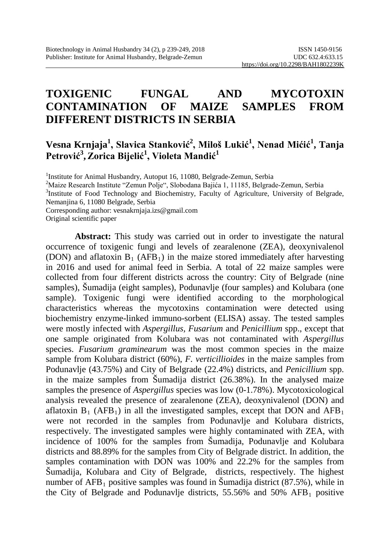# **TOXIGENIC FUNGAL AND MYCOTOXIN CONTAMINATION OF MAIZE SAMPLES FROM DIFFERENT DISTRICTS IN SERBIA**

## **Vesna Krnjaja1 , Slavica Stanković<sup>2</sup> , Miloš Lukić<sup>1</sup> , Nenad Mićić<sup>1</sup> , Tanja Petrović<sup>3</sup> , Zorica Bijelić<sup>1</sup> , Violeta Mandić<sup>1</sup>**

<sup>1</sup>Institute for Animal Husbandry, Autoput 16, 11080, Belgrade-Zemun, Serbia<sup>2</sup>Maize Research Institute "Zemun Bolie", Slabodana Baijáa 1, 11185, Belgrad

<sup>2</sup>Maize Research Institute "Zemun Polje", Slobodana Bajića 1, 11185, Belgrade-Zemun, Serbia

<sup>3</sup>Institute of Food Technology and Biochemistry, Faculty of Agriculture, University of Belgrade, Nemanjina 6, 11080 Belgrade, Serbia

Corresponding author[: vesnakrnjaja.izs@gmail.com](mailto:VesnaKrnjaja.IZS@gmail.com)

Original scientific paper

**Abstract:** This study was carried out in order to investigate the natural occurrence of toxigenic fungi and levels of zearalenone (ZEA), deoxynivalenol (DON) and aflatoxin  $B_1$  (AFB<sub>1</sub>) in the maize stored immediately after harvesting in 2016 and used for animal feed in Serbia. A total of 22 maize samples were collected from four different districts across the country: City of Belgrade (nine samples), Šumadija (eight samples), Podunavlje (four samples) and Kolubara (one sample). Toxigenic fungi were identified according to the morphological characteristics whereas the mycotoxins contamination were detected using biochemistry enzyme-linked immuno-sorbent (ELISA) assay. The tested samples were mostly infected with *Aspergillus, Fusarium* and *Penicillium* spp., except that one sample originated from Kolubara was not contaminated with *Aspergillus* species. *Fusarium graminearum* was the most common species in the maize sample from Kolubara district (60%), *F. verticillioides* in the maize samples from Podunavlje (43.75%) and City of Belgrade (22.4%) districts, and *Penicillium* spp. in the maize samples from Šumadija district (26.38%). In the analysed maize samples the presence of *Aspergillus* species was low (0-1.78%). Mycotoxicological analysis revealed the presence of zearalenone (ZEA), deoxynivalenol (DON) and aflatoxin  $B_1$  (AFB<sub>1</sub>) in all the investigated samples, except that DON and AFB<sub>1</sub> were not recorded in the samples from Podunavlje and Kolubara districts, respectively. The investigated samples were highly contaminated with ZEA, with incidence of 100% for the samples from Šumadija, Podunavlje and Kolubara districts and 88.89% for the samples from City of Belgrade district. In addition, the samples contamination with DON was 100% and 22.2% for the samples from Šumadija, Kolubara and City of Belgrade, districts, respectively. The highest number of  $AFB_1$  positive samples was found in Šumadija district (87.5%), while in the City of Belgrade and Podunavlje districts,  $55.56\%$  and  $50\%$  AFB<sub>1</sub> positive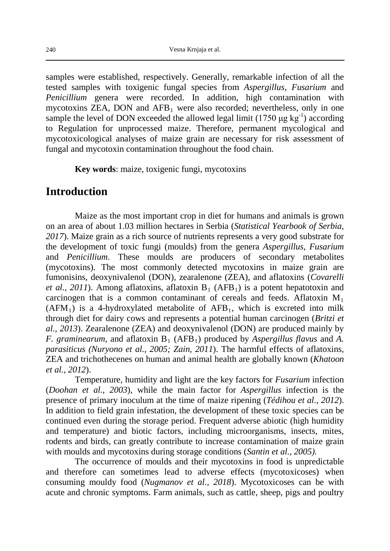samples were established, respectively. Generally, remarkable infection of all the tested samples with toxigenic fungal species from *Aspergillus, Fusarium* and *Penicillium* genera were recorded. In addition, high contamination with mycotoxins  $ZEA$ , DON and  $AFB<sub>1</sub>$  were also recorded; nevertheless, only in one sample the level of DON exceeded the allowed legal limit  $(1750 \mu g kg^{-1})$  according to Regulation for unprocessed maize. Therefore, permanent mycological and mycotoxicological analyses of maize grain are necessary for risk assessment of fungal and mycotoxin contamination throughout the food chain.

**Key words**: maize, toxigenic fungi, mycotoxins

### **Introduction**

Maize as the most important crop in diet for humans and animals is grown on an area of about 1.03 million hectares in Serbia (*Statistical Yearbook of Serbia, 2017*). Maize grain as a rich source of nutrients represents a very good substrate for the development of toxic fungi (moulds) from the genera *Aspergillus, Fusarium* and *Penicillium*. These moulds are producers of secondary metabolites (mycotoxins). The most commonly detected mycotoxins in maize grain are fumonisins, deoxynivalenol (DON), zearalenone (ZEA), and aflatoxins (*Covarelli et al., 2011*). Among aflatoxins, aflatoxin  $B_1$  (AFB<sub>1</sub>) is a potent hepatotoxin and carcinogen that is a common contaminant of cereals and feeds. Aflatoxin  $M_1$  $(AFM<sub>1</sub>)$  is a 4-hydroxylated metabolite of  $AFB<sub>1</sub>$ , which is excreted into milk through diet for dairy cows and represents a potential human carcinogen (*Britzi et al., 2013*). Zearalenone (ZEA) and deoxynivalenol (DON) are produced mainly by *F. graminearum,* and aflatoxin  $B_1$  (AFB<sub>1</sub>) produced by *Aspergillus flavus* and *A. parasiticus (Nuryono et al., 2005; Zain, 2011*). The harmful effects of aflatoxins, ZEA and trichothecenes on human and animal health are globally known (*Khatoon et al., 2012*).

Temperature, humidity and light are the key factors for *Fusarium* infection (*Doohan et al., 2003*), while the main factor for *Aspergillus* infection is the presence of primary inoculum at the time of maize ripening (*Tédihou et al., 2012*). In addition to field grain infestation, the development of these toxic species can be continued even during the storage period. Frequent adverse abiotic (high humidity and temperature) and biotic factors, including microorganisms, insects, mites, rodents and birds, can greatly contribute to increase contamination of maize grain with moulds and mycotoxins during storage conditions (*Santin et al., 2005).*

The occurrence of moulds and their mycotoxins in food is unpredictable and therefore can sometimes lead to adverse effects (mycotoxicoses) when consuming mouldy food (*Nugmanov et al., 2018*). Mycotoxicoses can be with acute and chronic symptoms. Farm animals, such as cattle, sheep, pigs and poultry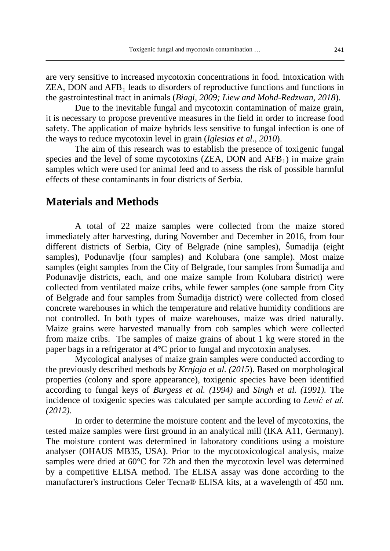are very sensitive to increased mycotoxin concentrations in food. Intoxication with  $ZEA$ , DON and  $AFB<sub>1</sub>$  leads to disorders of reproductive functions and functions in the gastrointestinal tract in animals (*Biagi, 2009; Liew and Mohd-Redzwan, 2018*).

Due to the inevitable fungal and mycotoxin contamination of maize grain, it is necessary to propose preventive measures in the field in order to increase food safety. The application of maize hybrids less sensitive to fungal infection is one of the ways to reduce mycotoxin level in grain (*Iglesias et al., 2010*).

The aim of this research was to establish the presence of toxigenic fungal species and the level of some mycotoxins  $(ZEA, DON$  and  $AFB<sub>1</sub>$ ) in maize grain samples which were used for animal feed and to assess the risk of possible harmful effects of these contaminants in four districts of Serbia.

## **Materials and Methods**

A total of 22 maize samples were collected from the maize stored immediately after harvesting, during November and December in 2016, from four different districts of Serbia, City of Belgrade (nine samples), Šumadija (eight samples), Podunavlje (four samples) and Kolubara (one sample). Most maize samples (eight samples from the City of Belgrade, four samples from Šumadija and Podunavlje districts, each, and one maize sample from Kolubara district) were collected from ventilated maize cribs, while fewer samples (one sample from City of Belgrade and four samples from Šumadija district) were collected from closed concrete warehouses in which the temperature and relative humidity conditions are not controlled. In both types of maize warehouses, maize was dried naturally. Maize grains were harvested manually from cob samples which were collected from maize cribs. The samples of maize grains of about 1 kg were stored in the paper bags in a refrigerator at 4°C prior to fungal and mycotoxin analyses.

Mycological analyses of maize grain samples were conducted according to the previously described methods by *Krnjaja et al. (2015*). Based on morphological properties (colony and spore appearance), toxigenic species have been identified according to fungal keys of *Burgess et al. (1994)* and *Singh et al. (1991).* The incidence of toxigenic species was calculated per sample according to *Lević et al. (2012).*

In order to determine the moisture content and the level of mycotoxins, the tested maize samples were first ground in an analytical mill (IKA A11, Germany). The moisture content was determined in laboratory conditions using a moisture analyser (OHAUS MB35, USA). Prior to the mycotoxicological analysis, maize samples were dried at 60°C for 72h and then the mycotoxin level was determined by a competitive ELISA method. The ELISA assay was done according to the manufacturer's instructions Celer Tecna® ELISA kits, at a wavelength of 450 nm.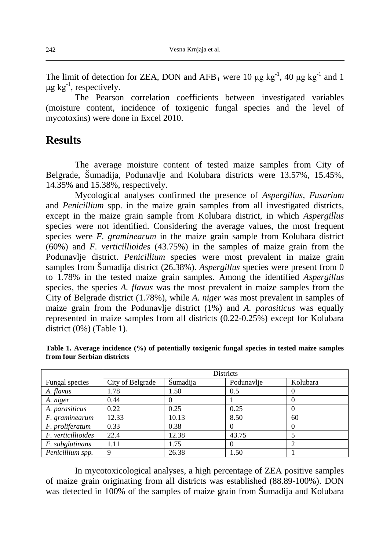The limit of detection for ZEA, DON and  $AFB_1$  were 10  $\mu$ g kg<sup>-1</sup>, 40  $\mu$ g kg<sup>-1</sup> and 1  $\mu$ g kg<sup>-1</sup>, respectively.

The Pearson correlation coefficients between investigated variables (moisture content, incidence of toxigenic fungal species and the level of mycotoxins) were done in Excel 2010.

## **Results**

The average moisture content of tested maize samples from City of Belgrade, Šumadija, Podunavlje and Kolubara districts were 13.57%, 15.45%, 14.35% and 15.38%, respectively.

Mycological analyses confirmed the presence of *Aspergillus, Fusarium* and *Penicillium* spp. in the maize grain samples from all investigated districts, except in the maize grain sample from Kolubara district, in which *Aspergillus* species were not identified. Considering the average values, the most frequent species were *F. graminearum* in the maize grain sample from Kolubara district (60%) and *F. verticillioides* (43.75%) in the samples of maize grain from the Podunavlje district. *Penicillium* species were most prevalent in maize grain samples from Šumadija district (26.38%). *Aspergillus* species were present from 0 to 1.78% in the tested maize grain samples. Among the identified *Aspergillus* species, the species *A. flavus* was the most prevalent in maize samples from the City of Belgrade district (1.78%), while *A. niger* was most prevalent in samples of maize grain from the Podunavlje district (1%) and *A. parasiticus* was equally represented in maize samples from all districts (0.22-0.25%) except for Kolubara district (0%) (Table 1).

|                    | Districts        |          |            |          |  |
|--------------------|------------------|----------|------------|----------|--|
| Fungal species     | City of Belgrade | Šumadija | Podunavlje | Kolubara |  |
| A. flavus          | 1.78             | 1.50     | 0.5        |          |  |
| A. niger           | 0.44             |          |            |          |  |
| A. parasiticus     | 0.22             | 0.25     | 0.25       |          |  |
| F. graminearum     | 12.33            | 10.13    | 8.50       | 60       |  |
| F. proliferatum    | 0.33             | 0.38     |            |          |  |
| F. verticillioides | 22.4             | 12.38    | 43.75      |          |  |
| F. subglutinans    | 1.11             | 1.75     |            |          |  |
| Penicillium spp.   | 9                | 26.38    | 1.50       |          |  |

**Table 1. Average incidence (%) of potentially toxigenic fungal species in tested maize samples from four Serbian districts**

In mycotoxicological analyses, a high percentage of ZEA positive samples of maize grain originating from all districts was established (88.89-100%). DON was detected in 100% of the samples of maize grain from Šumadija and Kolubara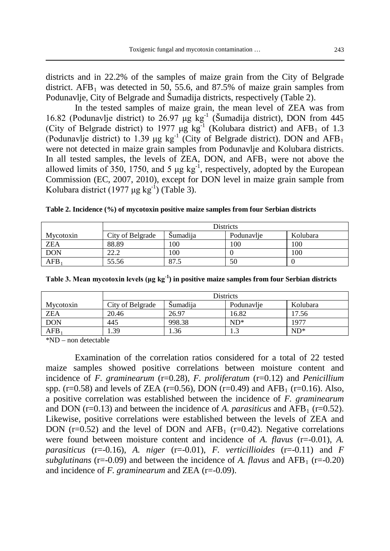districts and in 22.2% of the samples of maize grain from the City of Belgrade district.  $AFB<sub>1</sub>$  was detected in 50, 55.6, and 87.5% of maize grain samples from Podunavlje, City of Belgrade and Šumadija districts, respectively (Table 2).

In the tested samples of maize grain, the mean level of ZEA was from 16.82 (Podunavlje district) to 26.97 μg  $kg^{-1}$  (Šumadija district), DON from 445 (City of Belgrade district) to 1977  $\mu$ g kg<sup>-1</sup> (Kolubara district) and AFB<sub>1</sub> of 1.3 (Podunavlje district) to 1.39 μg kg<sup>-1</sup> (City of Belgrade district). DON and AFB<sub>1</sub> were not detected in maize grain samples from Podunavlje and Kolubara districts. In all tested samples, the levels of ZEA, DON, and  $AFB<sub>1</sub>$  were not above the allowed limits of 350, 1750, and 5  $\mu$ g kg<sup>-1</sup>, respectively, adopted by the European Commission (EC, 2007, 2010), except for DON level in maize grain sample from Kolubara district  $(1977 \mu g kg^{-1})$  (Table 3).

**Table 2. Incidence (%) of mycotoxin positive maize samples from four Serbian districts**

|            | <b>Districts</b> |                 |            |          |  |
|------------|------------------|-----------------|------------|----------|--|
| Mycotoxin  | City of Belgrade | <b>Sumadija</b> | Podunavlje | Kolubara |  |
| <b>ZEA</b> | 88.89            | 100             | 100        | 100      |  |
| <b>DON</b> | 22.2             | 100             |            | 100      |  |
| AFB.       | 55.56            | 87.5            | 50         |          |  |

**Table 3. Mean mycotoxin levels (μg kg-1 ) in positive maize samples from four Serbian districts**

|                  | Districts        |                 |            |           |  |
|------------------|------------------|-----------------|------------|-----------|--|
| Mycotoxin        | City of Belgrade | <b>Sumadija</b> | Podunavlje | Kolubara  |  |
| ZEA              | 20.46            | 26.97           | 16.82      | 17.56     |  |
| <b>DON</b>       | 445              | 998.38          | $ND*$      | $197^{-}$ |  |
| AFB <sub>1</sub> | .39              | 36.،            | ر. 1       | $ND*$     |  |

\*ND – non detectable

Examination of the correlation ratios considered for a total of 22 tested maize samples showed positive correlations between moisture content and incidence of *F. graminearum* (r=0.28), *F. proliferatum* (r=0.12) and *Penicillium* spp. (r=0.58) and levels of ZEA (r=0.56), DON (r=0.49) and AFB<sub>1</sub> (r=0.16). Also, a positive correlation was established between the incidence of *F. graminearum* and DON  $(r=0.13)$  and between the incidence of *A. parasiticus* and AFB<sub>1</sub>  $(r=0.52)$ . Likewise, positive correlations were established between the levels of ZEA and DON ( $r=0.52$ ) and the level of DON and AFB<sub>1</sub> ( $r=0.42$ ). Negative correlations were found between moisture content and incidence of *A. flavus* (r=-0.01), *A. parasiticus* (r=-0.16), *A. niger* (r=-0.01), *F. verticillioides* (r=-0.11) and *F subglutinans* (r=-0.09) and between the incidence of *A. flavus* and AFB<sub>1</sub> (r=-0.20) and incidence of *F. graminearum* and ZEA (r=-0.09).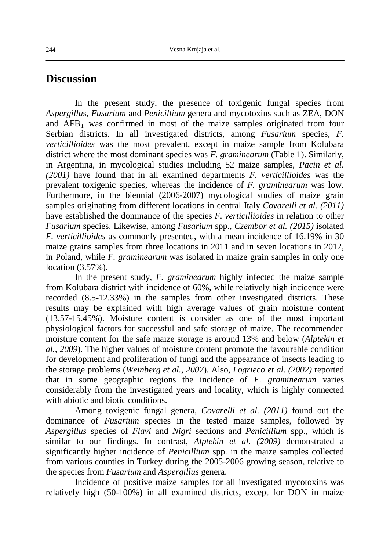#### **Discussion**

In the present study, the presence of toxigenic fungal species from *Aspergillus, Fusarium* and *Penicillium* genera and mycotoxins such as ZEA, DON and  $AFB<sub>1</sub>$  was confirmed in most of the maize samples originated from four Serbian districts. In all investigated districts, among *Fusarium* species, *F. verticillioides* was the most prevalent, except in maize sample from Kolubara district where the most dominant species was *F. graminearum* (Table 1). Similarly, in Argentina, in mycological studies including 52 maize samples, *Pacin et al. (2001)* have found that in all examined departments *F. verticillioides* was the prevalent toxigenic species, whereas the incidence of *F. graminearum* was low. Furthermore, in the biennial (2006-2007) mycological studies of maize grain samples originating from different locations in central Italy *Covarelli et al. (2011)* have established the dominance of the species *F. verticillioides* in relation to other *Fusarium* species. Likewise, among *Fusarium* spp., *Czembor et al. (2015)* isolated *F. verticillioides* as commonly presented, with a mean incidence of 16.19% in 30 maize grains samples from three locations in 2011 and in seven locations in 2012, in Poland, while *F. graminearum* was isolated in maize grain samples in only one location (3.57%).

In the present study, *F. graminearum* highly infected the maize sample from Kolubara district with incidence of 60%, while relatively high incidence were recorded (8.5-12.33%) in the samples from other investigated districts. These results may be explained with high average values of grain moisture content (13.57-15.45%). Moisture content is consider as one of the most important physiological factors for successful and safe storage of maize. The recommended moisture content for the safe maize storage is around 13% and below (*Alptekin et al., 2009*). The higher values of moisture content promote the favourable condition for development and proliferation of fungi and the appearance of insects leading to the storage problems (*Weinberg et al., 2007*). Also, *Logrieco et al. (2002)* reported that in some geographic regions the incidence of *F. graminearum* varies considerably from the investigated years and locality, which is highly connected with abiotic and biotic conditions.

Among toxigenic fungal genera, *Covarelli et al. (2011)* found out the dominance of *Fusarium* species in the tested maize samples, followed by *Aspergillus* species of *Flavi* and *Nigri* sections and *Penicillium* spp., which is similar to our findings. In contrast, *Alptekin et al. (2009)* demonstrated a significantly higher incidence of *Penicillium* spp. in the maize samples collected from various counties in Turkey during the 2005-2006 growing season, relative to the species from *Fusarium* and *Aspergillus* genera.

Incidence of positive maize samples for all investigated mycotoxins was relatively high (50-100%) in all examined districts, except for DON in maize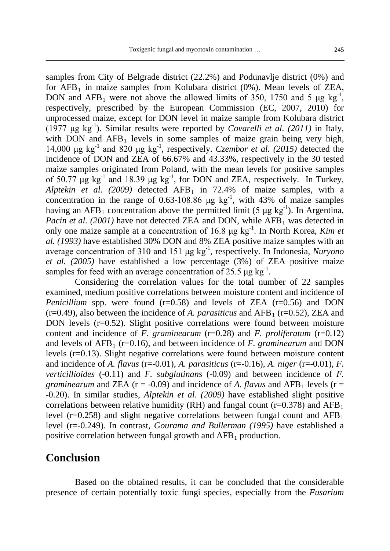samples from City of Belgrade district (22.2%) and Podunavlje district (0%) and for  $AFB_1$  in maize samples from Kolubara district  $(0\%)$ . Mean levels of ZEA, DON and  $AFB_1$  were not above the allowed limits of 350, 1750 and 5  $\mu$ g kg<sup>-1</sup>, respectively, prescribed by the European Commission (EC, 2007, 2010) for unprocessed maize, except for DON level in maize sample from Kolubara district (1977  $\mu$ g kg<sup>-1</sup>). Similar results were reported by *Covarelli et al.* (2011) in Italy, with DON and  $AFB_1$  levels in some samples of maize grain being very high, 14,000 μg kg-1 and 820 μg kg-1 , respectively. *Czembor et al. (2015)* detected the incidence of DON and ZEA of 66.67% and 43.33%, respectively in the 30 tested maize samples originated from Poland, with the mean levels for positive samples of 50.77  $\mu$ g kg<sup>-1</sup> and 18.39  $\mu$ g kg<sup>-1</sup>, for DON and ZEA, respectively. In Turkey, *Alptekin et al.* (2009) detected  $AFB_1$  in 72.4% of maize samples, with a concentration in the range of 0.63-108.86  $\mu$ g kg<sup>-1</sup>, with 43% of maize samples having an AFB<sub>1</sub> concentration above the permitted limit (5  $\mu$ g kg<sup>-1</sup>). In Argentina, *Pacin et al. (2001)* have not detected ZEA and DON, while  $\overline{AFB_1}$  was detected in only one maize sample at a concentration of 16.8 μg kg<sup>-1</sup>. In North Korea, *Kim et al. (1993)* have established 30% DON and 8% ZEA positive maize samples with an average concentration of 310 and 151 μg kg-1 , respectively. In Indonesia, *Nuryono et al. (2005)* have established a low percentage (3%) of ZEA positive maize samples for feed with an average concentration of 25.5  $\mu$ g kg<sup>-1</sup>.

Considering the correlation values for the total number of 22 samples examined, medium positive correlations between moisture content and incidence of *Penicillium* spp. were found  $(r=0.58)$  and levels of ZEA  $(r=0.56)$  and DON  $(r=0.49)$ , also between the incidence of *A. parasiticus* and AFB<sub>1</sub> ( $r=0.52$ ), ZEA and DON levels  $(r=0.52)$ . Slight positive correlations were found between moisture content and incidence of *F. graminearum* (r=0.28) and *F. proliferatum* (r=0.12) and levels of  $AFB_1$  ( $r=0.16$ ), and between incidence of *F. graminearum* and DON levels (r=0.13). Slight negative correlations were found between moisture content and incidence of *A. flavus* (r=-0.01), *A. parasiticus* (r=-0.16), *A. niger* (r=-0.01), *F. verticillioides* (-0.11) and *F. subglutinans* (-0.09) and between incidence of *F. graminearum* and ZEA ( $r = -0.09$ ) and incidence of *A. flavus* and AFB<sub>1</sub> levels ( $r =$ -0.20). In similar studies, *Alptekin et al*. *(2009)* have established slight positive correlations between relative humidity (RH) and fungal count ( $r=0.378$ ) and AFB<sub>1</sub> level ( $r=0.258$ ) and slight negative correlations between fungal count and AFB<sub>1</sub> level (r=-0.249). In contrast, *Gourama and Bullerman (1995)* have established a positive correlation between fungal growth and  $AFB<sub>1</sub>$  production.

#### **Conclusion**

Based on the obtained results, it can be concluded that the considerable presence of certain potentially toxic fungi species, especially from the *Fusarium*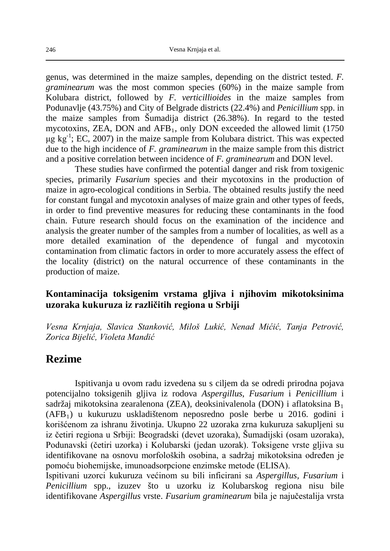genus, was determined in the maize samples, depending on the district tested. *F. graminearum* was the most common species (60%) in the maize sample from Kolubara district, followed by *F. verticillioides* in the maize samples from Podunavlje (43.75%) and City of Belgrade districts (22.4%) and *Penicillium* spp. in the maize samples from Šumadija district (26.38%). In regard to the tested mycotoxins, ZEA, DON and AFB<sub>1</sub>, only DON exceeded the allowed limit (1750)  $\mu$ g kg<sup>-1</sup>; EC, 2007) in the maize sample from Kolubara district. This was expected due to the high incidence of *F. graminearum* in the maize sample from this district and a positive correlation between incidence of *F. graminearum* and DON level.

These studies have confirmed the potential danger and risk from toxigenic species, primarily *Fusarium* species and their mycotoxins in the production of maize in agro-ecological conditions in Serbia. The obtained results justify the need for constant fungal and mycotoxin analyses of maize grain and other types of feeds, in order to find preventive measures for reducing these contaminants in the food chain. Future research should focus on the examination of the incidence and analysis the greater number of the samples from a number of localities, as well as a more detailed examination of the dependence of fungal and mycotoxin contamination from climatic factors in order to more accurately assess the effect of the locality (district) on the natural occurrence of these contaminants in the production of maize.

#### **Kontaminacija toksigenim vrstama gljiva i njihovim mikotoksinima uzoraka kukuruza iz različitih regiona u Srbiji**

*Vesna Krnjaja, Slavica Stanković, Miloš Lukić, Nenad Mićić, Tanja Petrović, Zorica Bijelić, Violeta Mandić*

## **Rezime**

Ispitivanja u ovom radu izvedena su s ciljem da se odredi prirodna pojava potencijalno toksigenih gljiva iz rodova *Aspergillus*, *Fusarium* i *Penicillium* i sadržaj mikotoksina zearalenona (ZEA), deoksinivalenola (DON) i aflatoksina B<sub>1</sub> (AFB1) u kukuruzu uskladištenom neposredno posle berbe u 2016. godini i korišćenom za ishranu životinja. Ukupno 22 uzoraka zrna kukuruza sakupljeni su iz četiri regiona u Srbiji: Beogradski (devet uzoraka), Šumadijski (osam uzoraka), Podunavski (četiri uzorka) i Kolubarski (jedan uzorak). Toksigene vrste gljiva su identifikovane na osnovu morfoloških osobina, a sadržaj mikotoksina određen je pomoću biohemijske, imunoadsorpcione enzimske metode (ELISA).

Ispitivani uzorci kukuruza većinom su bili inficirani sa *Aspergillus, Fusarium* i *Penicillium* spp., izuzev što u uzorku iz Kolubarskog regiona nisu bile identifikovane *Aspergillus* vrste. *Fusarium graminearum* bila je najučestalija vrsta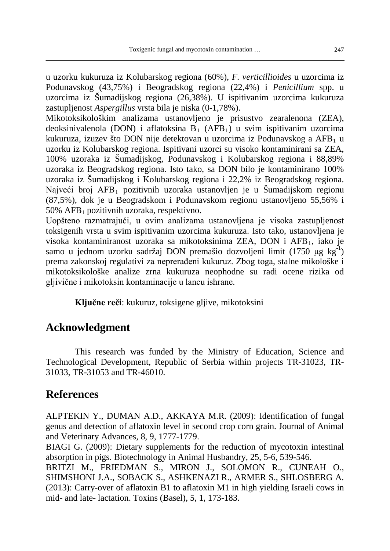u uzorku kukuruza iz Kolubarskog regiona (60%), *F. verticillioides* u uzorcima iz Podunavskog (43,75%) i Beogradskog regiona (22,4%) i *Penicillium* spp. u uzorcima iz Šumadijskog regiona (26,38%). U ispitivanim uzorcima kukuruza zastupljenost *Aspergillus* vrsta bila je niska (0-1,78%).

Mikotoksikološkim analizama ustanovljeno je prisustvo zearalenona (ZEA), deoksinivalenola (DON) i aflatoksina  $\overline{B}_1$  (AFB<sub>1</sub>) u svim ispitivanim uzorcima kukuruza, izuzev što DON nije detektovan u uzorcima iz Podunavskog a  $AFB<sub>1</sub>$  u uzorku iz Kolubarskog regiona. Ispitivani uzorci su visoko kontaminirani sa ZEA, 100% uzoraka iz Šumadijskog, Podunavskog i Kolubarskog regiona i 88,89% uzoraka iz Beogradskog regiona. Isto tako, sa DON bilo je kontaminirano 100% uzoraka iz Šumadijskog i Kolubarskog regiona i 22,2% iz Beogradskog regiona. Najveći broj  $AFB_1$  pozitivnih uzoraka ustanovljen je u Šumadijskom regionu (87,5%), dok je u Beogradskom i Podunavskom regionu ustanovljeno 55,56% i  $50\%$  AFB<sub>1</sub> pozitivnih uzoraka, respektivno.

Uopšteno razmatrajući, u ovim analizama ustanovljena je visoka zastupljenost toksigenih vrsta u svim ispitivanim uzorcima kukuruza. Isto tako, ustanovljena je visoka kontaminiranost uzoraka sa mikotoksinima ZEA, DON i AFB<sub>1</sub>, iako je samo u jednom uzorku sadržaj DON premašio dozvoljeni limit (1750 μg kg<sup>-1</sup>) prema zakonskoj regulativi za neprerađeni kukuruz. Zbog toga, stalne mikološke i mikotoksikološke analize zrna kukuruza neophodne su radi ocene rizika od gljivične i mikotoksin kontaminacije u lancu ishrane.

**Ključne reči**: kukuruz, toksigene gljive, mikotoksini

## **Acknowledgment**

This research was funded by the Ministry of Education, Science and Technological Development, Republic of Serbia within projects TR-31023, TR-31033, TR-31053 and TR-46010.

## **References**

ALPTEKIN Y., DUMAN A.D., AKKAYA M.R. (2009): Identification of fungal genus and detection of aflatoxin level in second crop corn grain. Journal of Animal and Veterinary Advances, 8, 9, 1777-1779.

BIAGI G. (2009): Dietary supplements for the reduction of mycotoxin intestinal absorption in pigs. Biotechnology in Animal Husbandry, 25, 5-6, 539-546.

BRITZI M., FRIEDMAN S., MIRON J., SOLOMON R., CUNEAH O., SHIMSHONI J.A., SOBACK S., ASHKENAZI R., ARMER S., SHLOSBERG A. (2013): Carry-over of aflatoxin B1 to aflatoxin M1 in high yielding Israeli cows in mid- and late- lactation. Toxins (Basel), 5, 1, 173-183.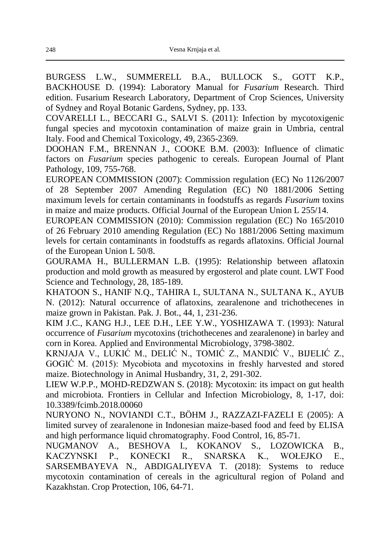BURGESS L.W., SUMMERELL B.A., BULLOCK S., GOTT K.P., BACKHOUSE D. (1994): Laboratory Manual for *Fusarium* Research. Third edition. Fusarium Research Laboratory, Department of Crop Sciences, University of Sydney and Royal Botanic Gardens, Sydney, pp. 133.

COVARELLI L., BECCARI G., SALVI S. (2011): Infection by mycotoxigenic fungal species and mycotoxin contamination of maize grain in Umbria, central Italy. Food and Chemical Toxicology, 49, 2365-2369.

DOOHAN F.M., BRENNAN J., COOKE B.M. (2003): Influence of climatic factors on *Fusarium* species pathogenic to cereals. European Journal of Plant Pathology, 109, 755-768.

EUROPEAN COMMISSION (2007): Commission regulation (EC) No 1126/2007 of 28 September 2007 Amending Regulation (EC) N0 1881/2006 Setting maximum levels for certain contaminants in foodstuffs as regards *Fusarium* toxins in maize and maize products. Official Journal of the European Union L 255/14.

EUROPEAN COMMISSION (2010): Commission regulation (EC) No 165/2010 of 26 February 2010 amending Regulation (EC) No 1881/2006 Setting maximum levels for certain contaminants in foodstuffs as regards aflatoxins. Official Journal of the European Union L 50/8.

GOURAMA H., BULLERMAN L.B. (1995): Relationship between aflatoxin production and mold growth as measured by ergosterol and plate count. LWT Food Science and Technology, 28, 185-189.

KHATOON S., HANIF N.Q., TAHIRA I., SULTANA N., SULTANA K., AYUB N. (2012): Natural occurrence of aflatoxins, zearalenone and trichothecenes in maize grown in Pakistan. Pak. J. Bot., 44, 1, 231-236.

KIM J.C., KANG H.J., LEE D.H., LEE Y.W., YOSHIZAWA T. (1993): Natural occurrence of *Fusarium* mycotoxins (trichothecenes and zearalenone) in barley and corn in Korea. Applied and Environmental Microbiology, 3798-3802.

KRNJAJA V., LUKIĆ M., DELIĆ N., TOMIĆ Z., MANDIĆ V., BIJELIĆ Z., GOGIĆ M. (2015): Mycobiota and mycotoxins in freshly harvested and stored maize. Biotechnology in Animal Husbandry, 31, 2, 291-302.

LIEW W.P.P., MOHD-REDZWAN S. (2018): Mycotoxin: its impact on gut health and microbiota. Frontiers in Cellular and Infection Microbiology, 8, 1-17, doi: 10.3389/fcimb.2018.00060

NURYONO N., NOVIANDI C.T., BÖHM J., RAZZAZI-FAZELI E (2005): A limited survey of zearalenone in Indonesian maize-based food and feed by ELISA and high performance liquid chromatography. Food Control, 16, 85-71.

NUGMANOV A., BESHOVA I., KOKANOV S., LOZOWICKA B., KACZYNSKI P., KONECKI R., SNARSKA K., WOŁEJKO E., SARSEMBAYEVA N., ABDIGALIYEVA T. (2018): Systems to reduce mycotoxin contamination of cereals in the agricultural region of Poland and Kazakhstan. Crop Protection, 106, 64-71.